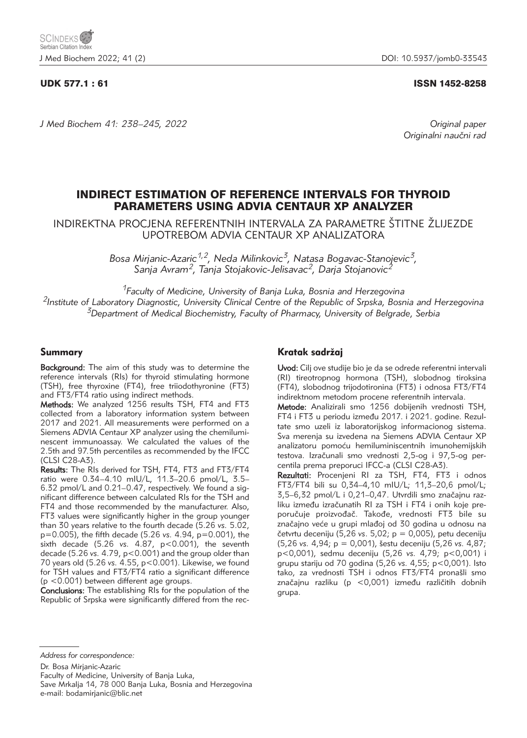### UDK 577.1 : 61 ISSN 1452-8258

*J Med Biochem 41: 238–245, 2022 Original paper*

Originalni naučni rad

# INDIRECT ESTIMATION OF REFERENCE INTERVALS FOR THYROID PARAMETERS USING ADVIA CENTAUR XP ANALYZER

INDIREKTNA PROCJENA REFERENTNIH INTERVALA ZA PARAMETRE ŠTITNE ŽLIJEZDE UPOTREBOM ADVIA CENTAUR XP ANALIZATORA

> *Bosa Mirjanic-Azaric1,2, Neda Milinkovic3, Natasa Bogavac-Stanojevic3, Sanja Avram2, Tanja Stojakovic-Jelisavac2, Darja Stojanovic2*

*1Faculty of Medicine, University of Banja Luka, Bosnia and Herzegovina 2Institute of Laboratory Diagnostic, University Clinical Centre of the Republic of Srpska, Bosnia and Herzegovina 3Department of Medical Biochemistry, Faculty of Pharmacy, University of Belgrade, Serbia* 

### Summary

Background: The aim of this study was to determine the reference intervals (RIs) for thyroid stimulating hormone (TSH), free thyroxine (FT4), free triiodothyronine (FT3) and FT3/FT4 ratio using indirect methods.

Methods: We analyzed 1256 results TSH, FT4 and FT3 collected from a laboratory information system between 2017 and 2021. All measurements were performed on a Siemens ADVIA Centaur XP analyzer using the chemiluminescent immunoassay. We calculated the values of the 2.5th and 97.5th percentiles as recommended by the IFCC (CLSI C28-A3).

Results: The RIs derived for TSH, FT4, FT3 and FT3/FT4 ratio were 0.34–4.10 mIU/L, 11.3–20.6 pmol/L, 3.5– 6.32 pmol/L and 0.21–0.47, respectively. We found a significant difference between calculated RIs for the TSH and FT4 and those recommended by the manufacturer. Also, FT3 values were significantly higher in the group younger than 30 years relative to the fourth decade (5.26 *vs.* 5.02, p=0.005), the fifth decade (5.26 *vs.* 4.94, p=0.001), the sixth decade (5.26 *vs.* 4.87, p<0.001), the seventh decade (5.26 *vs.* 4.79, p<0.001) and the group older than 70 years old (5.26 *vs.* 4.55, p<0.001). Likewise, we found for TSH values and FT3/FT4 ratio a significant difference (p <0.001) between different age groups.

Conclusions: The establishing RIs for the population of the Republic of Srpska were significantly differed from the rec-

## Kratak sadržaj

Uvod: Cilj ove studije bio je da se odrede referentni intervali (RI) tireotropnog hormona (TSH), slobodnog tiroksina (FT4), slobodnog trijodotironina (FT3) i odnosa FT3/FT4 indirektnom metodom procene referentnih intervala.

Metode: Analizirali smo 1256 dobijenih vrednosti TSH, FT4 i FT3 u periodu između 2017. i 2021. godine. Rezultate smo uzeli iz laboratorijskog informacionog sistema. Sva merenja su izvedena na Siemens ADVIA Centaur XP analizatoru pomoću hemiluminiscentnih imunohemijskih testova. Izračunali smo vrednosti 2,5-og i 97,5-og percentila prema preporuci IFCC-a (CLSI C28-A3).

Rezultati: Procenjeni RI za TSH, FT4, FT3 i odnos FT3/FT4 bili su 0,34–4,10 mIU/L; 11,3–20,6 pmol/L; 3,5–6,32 pmol/L i 0,21–0,47. Utvrdili smo značajnu razliku između izračunatih RI za TSH i FT4 i onih koje preporučuje proizvođač. Takođe, vrednosti FT3 bile su značajno veće u grupi mlađoj od 30 godina u odnosu na četvrtu deceniju (5,26 vs. 5,02; p = 0,005), petu deceniju (5,26 *vs.* 4,94; p = 0,001), {estu deceniju (5,26 *vs.* 4,87; p<0,001), sedmu deceniju (5,26 *vs.* 4,79; p<0,001) i grupu stariju od 70 godina (5,26 *vs.* 4,55; p<0,001). Isto tako, za vrednosti TSH i odnos FT3/FT4 pronašli smo značajnu razliku (p <0,001) između različitih dobnih grupa.

*Address for correspondence:*

Dr. Bosa Mirjanic-Azaric Faculty of Medicine, University of Banja Luka, Save Mrkalja 14, 78 000 Banja Luka, Bosnia and Herzegovina e-mail: bodamirjanic@blic.net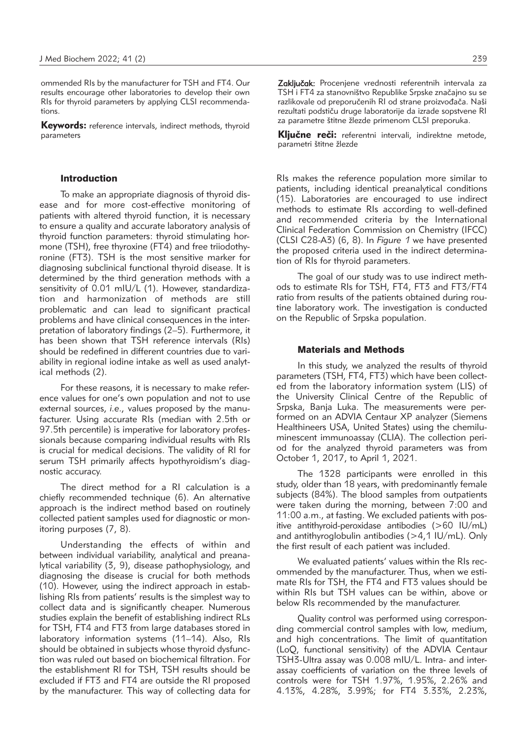ommended RIs by the manufacturer for TSH and FT4. Our results encourage other laboratories to develop their own RIs for thyroid parameters by applying CLSI recommendations.

**Keywords:** reference intervals, indirect methods, thyroid parameters

### Introduction

To make an appropriate diagnosis of thyroid disease and for more cost-effective monitoring of patients with altered thyroid function, it is necessary to ensure a quality and accurate laboratory analysis of thyroid function parameters: thyroid stimulating hormone (TSH), free thyroxine (FT4) and free triiodothyronine (FT3). TSH is the most sensitive marker for diagnosing subclinical functional thyroid disease. It is determined by the third generation methods with a sensitivity of 0.01 mIU/L (1). However, standardization and harmonization of methods are still problematic and can lead to significant practical problems and have clinical consequences in the interpretation of laboratory findings (2–5). Furthermore, it has been shown that TSH reference intervals (RIs) should be redefined in different countries due to variability in regional iodine intake as well as used analytical methods (2).

For these reasons, it is necessary to make reference values for one's own population and not to use external sources, *i.e.,* values proposed by the manufacturer. Using accurate RIs (median with 2.5th or 97.5th percentile) is imperative for laboratory professionals because comparing individual results with RIs is crucial for medical decisions. The validity of RI for serum TSH primarily affects hypothyroidism's diagnostic accuracy.

The direct method for a RI calculation is a chiefly recommended technique (6). An alternative approach is the indirect method based on routinely collected patient samples used for diagnostic or monitoring purposes (7, 8).

Understanding the effects of within and between individual variability, analytical and preanalytical variability (3, 9), disease pathophysiology, and diagnosing the disease is crucial for both methods (10). However, using the indirect approach in establishing RIs from patients' results is the simplest way to collect data and is significantly cheaper. Numerous studies explain the benefit of establishing indirect RLs for TSH, FT4 and FT3 from large databases stored in laboratory information systems (11–14). Also, RIs should be obtained in subjects whose thyroid dysfunction was ruled out based on biochemical filtration. For the establishment RI for TSH, TSH results should be excluded if FT3 and FT4 are outside the RI proposed by the manufacturer. This way of collecting data for

Zaključak: Procenjene vrednosti referentnih intervala za TSH i FT4 za stanovništvo Republike Srpske značajno su se razlikovale od preporučenih RI od strane proizvođača. Naši rezultati podstiču druge laboratorije da izrade sopstvene RI za parametre štitne žlezde primenom CLSI preporuka.

Ključne reči: referentni intervali, indirektne metode, parametri štitne žlezde

RIs makes the reference population more similar to patients, including identical preanalytical conditions (15). Laboratories are encouraged to use indirect methods to estimate RIs according to well-defined and recommended criteria by the International Clinical Federation Commission on Chemistry (IFCC) (CLSI C28-A3) (6, 8). In *Figure 1* we have presented the proposed criteria used in the indirect determination of RIs for thyroid parameters.

The goal of our study was to use indirect methods to estimate RIs for TSH, FT4, FT3 and FT3/FT4 ratio from results of the patients obtained during routine laboratory work. The investigation is conducted on the Republic of Srpska population.

### Materials and Methods

In this study, we analyzed the results of thyroid parameters (TSH, FT4, FT3) which have been collected from the laboratory information system (LIS) of the University Clinical Centre of the Republic of Srpska, Banja Luka. The measurements were performed on an ADVIA Centaur XP analyzer (Siemens Healthineers USA, United States) using the chemiluminescent immunoassay (CLIA). The collection period for the analyzed thyroid parameters was from October 1, 2017, to April 1, 2021.

The 1328 participants were enrolled in this study, older than 18 years, with predominantly female subjects (84%). The blood samples from outpatients were taken during the morning, between 7:00 and 11:00 a.m., at fasting. We excluded patients with positive antithyroid-peroxidase antibodies (>60 IU/mL) and antithyroglobulin antibodies  $(>4.1$  IU/mL). Only the first result of each patient was included.

We evaluated patients' values within the RIs recommended by the manufacturer. Thus, when we estimate RIs for TSH, the FT4 and FT3 values should be within RIs but TSH values can be within, above or below RIs recommended by the manufacturer.

Quality control was performed using corresponding commercial control samples with low, medium, and high concentrations. The limit of quantitation (LoQ, functional sensitivity) of the ADVIA Centaur TSH3-Ultra assay was 0.008 mIU/L. Intra- and interassay coefficients of variation on the three levels of controls were for TSH 1.97%, 1.95%, 2.26% and 4.13%, 4.28%, 3.99%; for FT4 3.33%, 2.23%,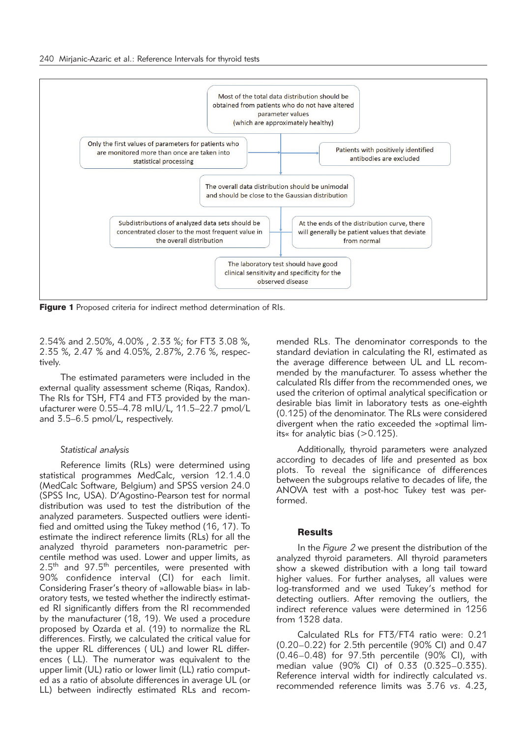

Figure 1 Proposed criteria for indirect method determination of RIs.

2.54% and 2.50%, 4.00% , 2.33 %; for FT3 3.08 %, 2.35 %, 2.47 % and 4.05%, 2.87%, 2.76 %, respectively.

The estimated parameters were included in the external quality assessment scheme (Riqas, Randox). The RIs for TSH, FT4 and FT3 provided by the manufacturer were 0.55–4.78 mIU/L, 11.5–22.7 pmol/L and 3.5–6.5 pmol/L, respectively.

#### *Statistical analysis*

Reference limits (RLs) were determined using statistical programmes MedCalc, version 12.1.4.0 (MedCalc Software, Belgium) and SPSS version 24.0 (SPSS Inc, USA). D'Agostino-Pearson test for normal distribution was used to test the distribution of the analyzed parameters. Suspected outliers were identified and omitted using the Tukey method (16, 17). To estimate the indirect reference limits (RLs) for all the analyzed thyroid parameters non-parametric percentile method was used. Lower and upper limits, as  $2.5<sup>th</sup>$  and  $97.5<sup>th</sup>$  percentiles, were presented with 90% confidence interval (CI) for each limit. Considering Fraser's theory of »allowable bias« in laboratory tests, we tested whether the indirectly estimated RI significantly differs from the RI recommended by the manufacturer (18, 19). We used a procedure proposed by Ozarda et al. (19) to normalize the RL differences. Firstly, we calculated the critical value for the upper RL differences ( UL) and lower RL differences ( LL). The numerator was equivalent to the upper limit (UL) ratio or lower limit (LL) ratio computed as a ratio of absolute differences in average UL (or LL) between indirectly estimated RLs and recommended RLs. The denominator corresponds to the standard deviation in calculating the RI, estimated as the average difference between UL and LL recommended by the manufacturer. To assess whether the calculated RIs differ from the recommended ones, we used the criterion of optimal analytical specification or desirable bias limit in laboratory tests as one-eighth (0.125) of the denominator. The RLs were considered divergent when the ratio exceeded the »optimal limits« for analytic bias (>0.125).

Additionally, thyroid parameters were analyzed according to decades of life and presented as box plots. To reveal the significance of differences between the subgroups relative to decades of life, the ANOVA test with a post-hoc Tukey test was performed.

#### **Results**

In the *Figure 2* we present the distribution of the analyzed thyroid parameters. All thyroid parameters show a skewed distribution with a long tail toward higher values. For further analyses, all values were log-transformed and we used Tukey's method for detecting outliers. After removing the outliers, the indirect reference values were determined in 1256 from 1328 data.

Calculated RLs for FT3/FT4 ratio were: 0.21 (0.20–0.22) for 2.5th percentile (90% CI) and 0.47 (0.46–0.48) for 97.5th percentile (90% CI), with median value (90% CI) of 0.33 (0.325–0.335). Reference interval width for indirectly calculated *vs*. recommended reference limits was 3.76 *vs*. 4.23,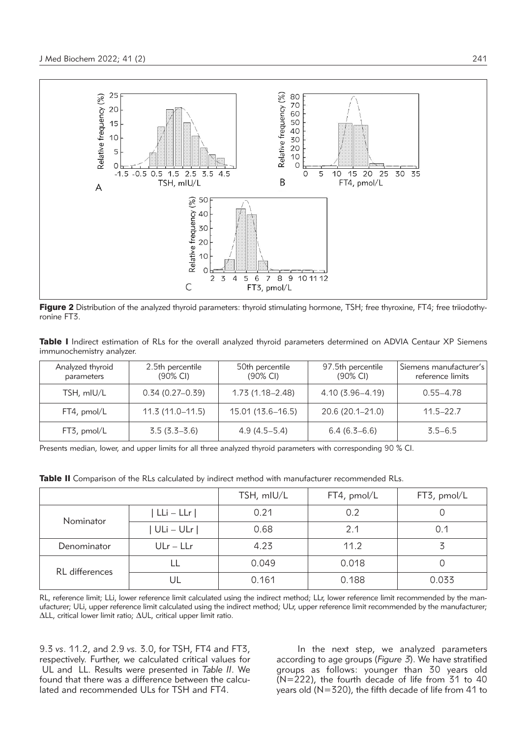

Figure 2 Distribution of the analyzed thyroid parameters: thyroid stimulating hormone, TSH; free thyroxine, FT4; free triiodothyronine FT3.

|  |                           |  |  |  | Table I Indirect estimation of RLs for the overall analyzed thyroid parameters determined on ADVIA Centaur XP Siemens |  |  |  |
|--|---------------------------|--|--|--|-----------------------------------------------------------------------------------------------------------------------|--|--|--|
|  | immunochemistry analyzer. |  |  |  |                                                                                                                       |  |  |  |

| Analyzed thyroid<br>parameters | 2.5th percentile<br>$(90\% \text{ Cl})$ | 50th percentile<br>$(90\% \text{ Cl})$ | 97.5th percentile<br>$(90\% \text{ Cl})$ | Siemens manufacturer's<br>reference limits |  |  |
|--------------------------------|-----------------------------------------|----------------------------------------|------------------------------------------|--------------------------------------------|--|--|
| TSH, mIU/L                     | $0.34(0.27-0.39)$                       | $1.73(1.18 - 2.48)$                    | $4.10(3.96 - 4.19)$                      | $0.55 - 4.78$                              |  |  |
| FT4, pmol/L                    | $11.3(11.0 - 11.5)$                     | 15.01 (13.6–16.5)                      | 20.6 (20.1-21.0)                         | $11.5 - 22.7$                              |  |  |
| $FT3$ , pmol/L                 | $3.5(3.3-3.6)$                          | $4.9(4.5-5.4)$                         | $6.4(6.3-6.6)$                           | $3.5 - 6.5$                                |  |  |

Presents median, lower, and upper limits for all three analyzed thyroid parameters with corresponding 90 % CI.

Table II Comparison of the RLs calculated by indirect method with manufacturer recommended RLs.

|                |                 | TSH, mIU/L | FT4, pmol/L | FT3, pmol/L |  |  |
|----------------|-----------------|------------|-------------|-------------|--|--|
| Nominator      | $  LLi - LLr  $ | 0.21       | 0.2         |             |  |  |
|                | $ ULi - ULr $   | 0.68       | 2.1         | 0.1         |  |  |
| Denominator    | $ULr - LLr$     | 4.23       | 11.2        |             |  |  |
| RL differences |                 | 0.049      | 0.018       |             |  |  |
|                | UL              | 0.161      | 0.188       | 0.033       |  |  |

RL, reference limit; LLi, lower reference limit calculated using the indirect method; LLr, lower reference limit recommended by the manufacturer; ULi, upper reference limit calculated using the indirect method; ULr, upper reference limit recommended by the manufacturer; ΔLL, critical lower limit ratio; ΔUL, critical upper limit ratio.

9.3 *vs*. 11.2, and 2.9 *vs.* 3.0, for TSH, FT4 and FT3, respectively. Further, we calculated critical values for UL and LL. Results were presented in *Table II*. We found that there was a difference between the calculated and recommended ULs for TSH and FT4.

In the next step, we analyzed parameters according to age groups (*Figure 3*). We have stratified groups as follows: younger than 30 years old (N=222), the fourth decade of life from 31 to 40 years old (N=320), the fifth decade of life from 41 to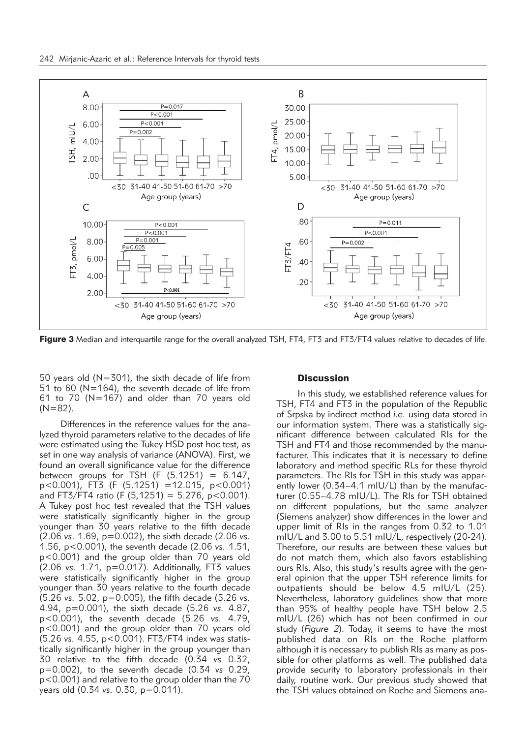

Figure 3 Median and interquartile range for the overall analyzed TSH, FT4, FT3 and FT3/FT4 values relative to decades of life.

50 years old (N=301), the sixth decade of life from 51 to 60 (N=164), the seventh decade of life from 61 to 70 (N=167) and older than 70 years old  $(N=82)$ .

Differences in the reference values for the analyzed thyroid parameters relative to the decades of life were estimated using the Tukey HSD post hoc test, as set in one way analysis of variance (ANOVA). First, we found an overall significance value for the difference between groups for TSH (F  $(5.1251) = 6.147$ , p<0.001), FT3 (F (5.1251) =12.015, p<0.001) and FT3/FT4 ratio (F (5,1251) = 5.276, p < 0.001). A Tukey post hoc test revealed that the TSH values were statistically significantly higher in the group younger than 30 years relative to the fifth decade (2.06 *vs*. 1.69, p=0.002), the sixth decade (2.06 *vs.* 1.56, p<0.001), the seventh decade (2.06 *vs.* 1.51, p<0.001) and the group older than 70 years old (2.06 *vs.* 1.71, p=0.017). Additionally, FT3 values were statistically significantly higher in the group younger than 30 years relative to the fourth decade (5.26 *vs.* 5.02, p=0.005), the fifth decade (5.26 *vs.* 4.94, p=0.001), the sixth decade (5.26 *vs.* 4.87, p<0.001), the seventh decade (5.26 *vs.* 4.79, p<0.001) and the group older than 70 years old (5.26 *vs.* 4.55, p<0.001). FT3/FT4 index was statistically significantly higher in the group younger than 30 relative to the fifth decade (0.34 *vs* 0.32, p=0.002), to the seventh decade (0.34 *vs* 0.29, p<0.001) and relative to the group older than the 70 years old (0.34 *vs.* 0.30, p=0.011).

#### **Discussion**

In this study, we established reference values for TSH, FT4 and FT3 in the population of the Republic of Srpska by indirect method *i.e.* using data stored in our information system. There was a statistically significant difference between calculated RIs for the TSH and FT4 and those recommended by the manufacturer. This indicates that it is necessary to define laboratory and method specific RLs for these thyroid parameters. The RIs for TSH in this study was apparently lower (0.34–4.1 mIU/L) than by the manufacturer (0.55–4.78 mIU/L). The RIs for TSH obtained on different populations, but the same analyzer (Siemens analyzer) show differences in the lower and upper limit of RIs in the ranges from 0.32 to 1.01 mIU/L and 3.00 to 5.51 mIU/L, respectively (20-24). Therefore, our results are between these values but do not match them, which also favors establishing ours RIs. Also, this study's results agree with the general opinion that the upper TSH reference limits for outpatients should be below 4.5 mIU/L (25). Nevertheless, laboratory guidelines show that more than 95% of healthy people have TSH below 2.5 mIU/L (26) which has not been confirmed in our study (*Figure 2*). Today, it seems to have the most published data on RIs on the Roche platform although it is necessary to publish RIs as many as possible for other platforms as well. The published data provide security to laboratory professionals in their daily, routine work. Our previous study showed that the TSH values obtained on Roche and Siemens ana-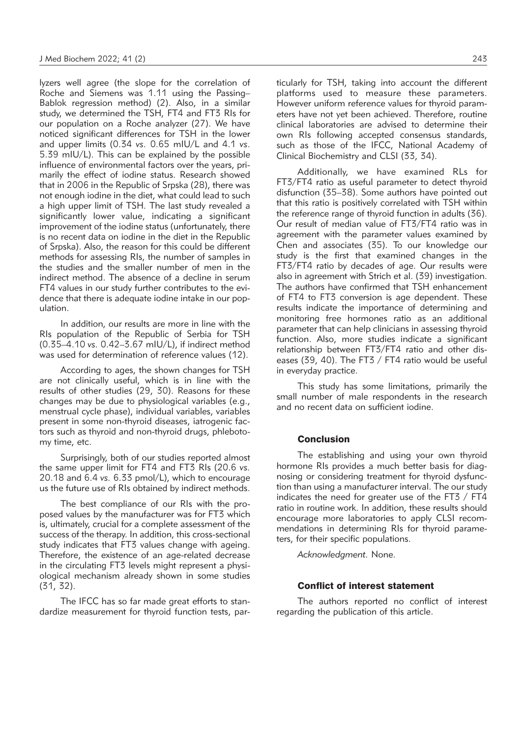lyzers well agree (the slope for the correlation of Roche and Siemens was 1.11 using the Passing– Bablok regression method) (2). Also, in a similar study, we determined the TSH, FT4 and FT3 RIs for our population on a Roche analyzer (27). We have noticed significant differences for TSH in the lower and upper limits (0.34 *vs.* 0.65 mIU/L and 4.1 *vs*. 5.39 mIU/L). This can be explained by the possible influence of environmental factors over the years, primarily the effect of iodine status. Research showed that in 2006 in the Republic of Srpska (28), there was not enough iodine in the diet, what could lead to such a high upper limit of TSH. The last study revealed a significantly lower value, indicating a significant improvement of the iodine status (unfortunately, there is no recent data on iodine in the diet in the Republic of Srpska). Also, the reason for this could be different methods for assessing RIs, the number of samples in the studies and the smaller number of men in the indirect method. The absence of a decline in serum FT4 values in our study further contributes to the evidence that there is adequate iodine intake in our population.

In addition, our results are more in line with the RIs population of the Republic of Serbia for TSH (0.35–4.10 *vs.* 0.42–3.67 mIU/L), if indirect method was used for determination of reference values (12).

According to ages, the shown changes for TSH are not clinically useful, which is in line with the results of other studies (29, 30). Reasons for these changes may be due to physiological variables (e.g., menstrual cycle phase), individual variables, variables present in some non-thyroid diseases, iatrogenic factors such as thyroid and non-thyroid drugs, phlebotomy time, etc.

Surprisingly, both of our studies reported almost the same upper limit for FT4 and FT3 RIs (20.6 *vs.* 20.18 and 6.4 *vs.* 6.33 pmol/L), which to encourage us the future use of RIs obtained by indirect methods.

The best compliance of our RIs with the proposed values by the manufacturer was for FT3 which is, ultimately, crucial for a complete assessment of the success of the therapy. In addition, this cross-sectional study indicates that FT3 values change with ageing. Therefore, the existence of an age-related decrease in the circulating FT3 levels might represent a physiological mechanism already shown in some studies (31, 32).

The IFCC has so far made great efforts to standardize measurement for thyroid function tests, particularly for TSH, taking into account the different platforms used to measure these parameters. However uniform reference values for thyroid parameters have not yet been achieved. Therefore, routine clinical laboratories are advised to determine their own RIs following accepted consensus standards, such as those of the IFCC, National Academy of Clinical Biochemistry and CLSI (33, 34).

Additionally, we have examined RLs for FT3/FT4 ratio as useful parameter to detect thyroid disfunction (35–38). Some authors have pointed out that this ratio is positively correlated with TSH within the reference range of thyroid function in adults (36). Our result of median value of FT3/FT4 ratio was in agreement with the parameter values examined by Chen and associates (35). To our knowledge our study is the first that examined changes in the FT3/FT4 ratio by decades of age. Our results were also in agreement with Strich et al. (39) investigation. The authors have confirmed that TSH enhancement of FT4 to FT3 conversion is age dependent. These results indicate the importance of determining and monitoring free hormones ratio as an additional parameter that can help clinicians in assessing thyroid function. Also, more studies indicate a significant relationship between FT3/FT4 ratio and other diseases (39, 40). The FT3 / FT4 ratio would be useful in everyday practice.

This study has some limitations, primarily the small number of male respondents in the research and no recent data on sufficient iodine.

### **Conclusion**

The establishing and using your own thyroid hormone RIs provides a much better basis for diagnosing or considering treatment for thyroid dysfunction than using a manufacturer interval. The our study indicates the need for greater use of the FT3 / FT4 ratio in routine work. In addition, these results should encourage more laboratories to apply CLSI recommendations in determining RIs for thyroid parameters, for their specific populations.

*Acknowledgment.* None.

### Conflict of interest statement

The authors reported no conflict of interest regarding the publication of this article.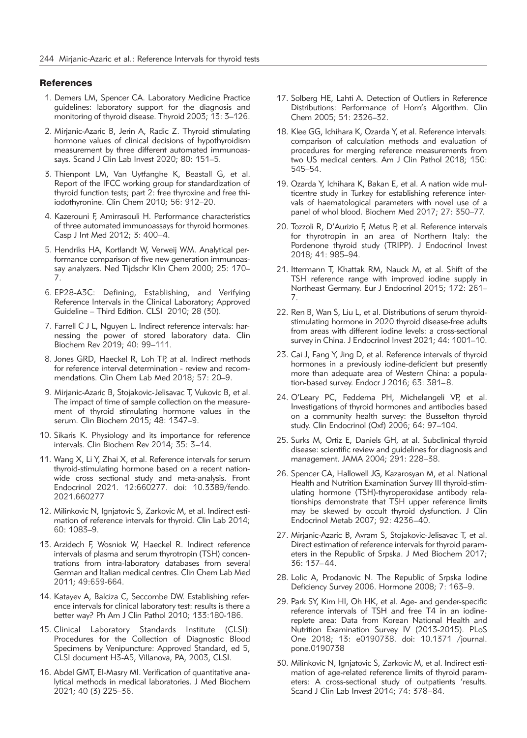#### **References**

- 1. Demers LM, Spencer CA. Laboratory Medicine Practice guidelines: laboratory support for the diagnosis and monitoring of thyroid disease. Thyroid 2003; 13: 3–126.
- 2. Mirjanic-Azaric B, Jerin A, Radic Z. Thyroid stimulating hormone values of clinical decisions of hypothyroidism measurement by three different automated immunoassays. Scand J Clin Lab Invest 2020; 80: 151–5.
- 3. Thienpont LM, Van Uytfanghe K, Beastall G, et al. Report of the IFCC working group for standardization of thyroid function tests; part 2: free thyroxine and free thiiodothyronine. Clin Chem 2010; 56: 912–20.
- 4. Kazerouni F, Amirrasouli H. Performance characteristics of three automated immunoassays for thyroid hormones. Casp J Int Med 2012; 3: 400–4.
- 5. Hendriks HA, Kortlandt W, Verweij WM. Analytical performance comparison of five new generation immunoassay analyzers. Ned Tijdschr Klin Chem 2000; 25: 170– 7.
- 6. EP28-A3C: Defining, Establishing, and Verifying Reference Intervals in the Clinical Laboratory; Approved Guideline – Third Edition. CLSI 2010; 28 (30).
- 7. Farrell C J L, Nguyen L. Indirect reference intervals: harnessing the power of stored laboratory data. Clin Biochem Rev 2019; 40: 99–111.
- 8. Jones GRD, Haeckel R, Loh TP, at al. Indirect methods for reference interval determination - review and recommendations. Clin Chem Lab Med 2018; 57: 20–9.
- 9. Mirjanic-Azaric B, Stojakovic-Jelisavac T, Vukovic B, et al. The impact of time of sample collection on the measurement of thyroid stimulating hormone values in the serum. Clin Biochem 2015; 48: 1347–9.
- 10. Sikaris K. Physiology and its importance for reference intervals. Clin Biochem Rev 2014; 35: 3–14.
- 11. Wang X, Li Y, Zhai X, et al. Reference intervals for serum thyroid-stimulating hormone based on a recent nationwide cross sectional study and meta-analysis. Front Endocrinol 2021. 12:660277. doi: 10.3389/fendo. 2021.660277
- 12. Milinkovic N, Ignjatovic S, Zarkovic M, et al. Indirect estimation of reference intervals for thyroid. Clin Lab 2014; 60: 1083–9.
- 13. Arzidech F, Wosniok W, Haeckel R. Indirect reference intervals of plasma and serum thyrotropin (TSH) concentrations from intra-laboratory databases from several German and Italian medical centres. Clin Chem Lab Med 2011; 49:659-664.
- 14. Katayev A, Balciza C, Seccombe DW. Establishing reference intervals for clinical laboratory test: results is there a better way? Ph Am J Clin Pathol 2010; 133:180-186.
- 15. Clinical Laboratory Standards Institute (CLSI): Procedures for the Collection of Diagnostic Blood Specimens by Venipuncture: Approved Standard, ed 5, CLSI document H3-A5, Villanova, PA, 2003, CLSI.
- 16. Abdel GMT, El-Masry MI. Verification of quantitative analytical methods in medical laboratories. J Med Biochem 2021; 40 (3) 225–36.
- 17. Solberg HE, Lahti A. Detection of Outliers in Reference Distributions: Performance of Horn's Algorithm. Clin Chem 2005; 51: 2326–32.
- 18. Klee GG, Ichihara K, Ozarda Y, et al. Reference intervals: comparison of calculation methods and evaluation of procedures for merging reference measurements from two US medical centers. Am J Clin Pathol 2018; 150: 545–54.
- 19. Ozarda Y, Ichihara K, Bakan E, et al. A nation wide multicentre study in Turkey for establishing reference intervals of haematological parameters with novel use of a panel of whol blood. Biochem Med 2017; 27: 350–77.
- 20. Tozzoli R, D'Aurizio F, Metus P, et al. Reference intervals for thyrotropin in an area of Northern Italy: the Pordenone thyroid study (TRIPP). J Endocrinol Invest 2018; 41: 985–94.
- 21. Ittermann T, Khattak RM, Nauck M, et al. Shift of the TSH reference range with improved iodine supply in Northeast Germany. Eur J Endocrinol 2015; 172: 261– 7.
- 22. Ren B, Wan S, Liu L, et al. Distributions of serum thyroidstimulating hormone in 2020 thyroid disease-free adults from areas with different iodine levels: a cross-sectional survey in China. J Endocrinol Invest 2021; 44: 1001–10.
- 23. Cai J, Fang Y, Jing D, et al. Reference intervals of thyroid hormones in a previously iodine-deficient but presently more than adequate area of Western China: a population-based survey. Endocr J 2016; 63: 381–8.
- 24. O'Leary PC, Feddema PH, Michelangeli VP, et al. Investigations of thyroid hormones and antibodies based on a community health survey: the Busselton thyroid study. Clin Endocrinol (Oxf) 2006; 64: 97–104.
- 25. Surks M, Ortiz E, Daniels GH, at al. Subclinical thyroid disease: scientific review and guidelines for diagnosis and management. JAMA 2004; 291: 228–38.
- 26. Spencer CA, Hallowell JG, Kazarosyan M, et al. National Health and Nutrition Examination Survey III thyroid-stimulating hormone (TSH)-thyroperoxidase antibody relationships demonstrate that TSH upper reference limits may be skewed by occult thyroid dysfunction. J Clin Endocrinol Metab 2007; 92: 4236–40.
- 27. Mirjanic-Azaric B, Avram S, Stojakovic-Jelisavac T, et al. Direct estimation of reference intervals for thyroid parameters in the Republic of Srpska. J Med Biochem 2017; 36: 137–44.
- 28. Lolic A, Prodanovic N. The Republic of Srpska Iodine Deficiency Survey 2006. Hormone 2008; 7: 163–9.
- 29. Park SY, Kim HI, Oh HK, et al. Age- and gender-specific reference intervals of TSH and free T4 in an iodinereplete area: Data from Korean National Health and Nutrition Examination Survey IV (2013-2015). PLoS One 2018; 13: e0190738. doi: 10.1371 /journal. pone.0190738
- 30. Milinkovic N, Ignjatovic S, Zarkovic M, et al. Indirect estimation of age-related reference limits of thyroid parameters: A cross-sectional study of outpatients 'results. Scand J Clin Lab Invest 2014; 74: 378–84.